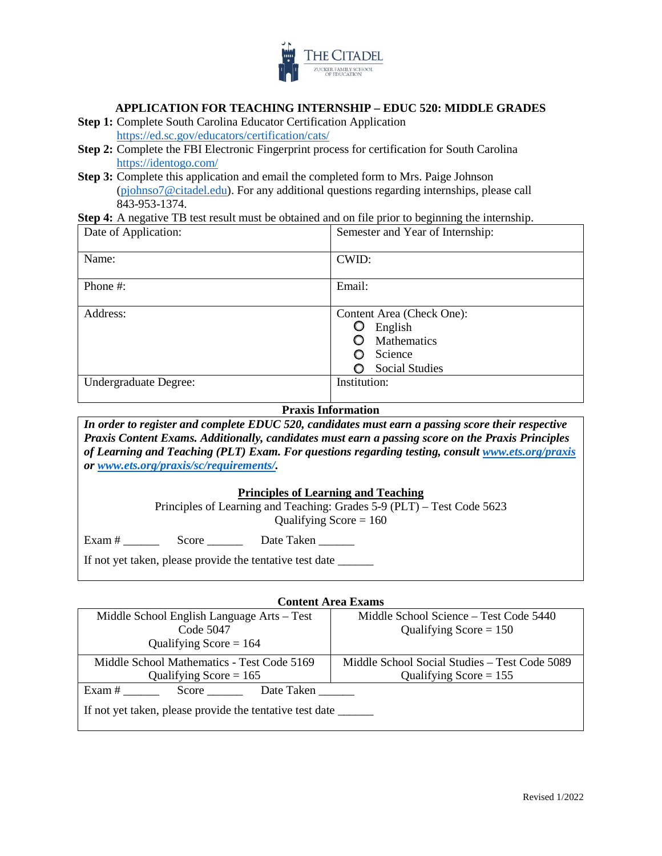

### **APPLICATION FOR TEACHING INTERNSHIP – EDUC 520: MIDDLE GRADES**

- **Step 1:** Complete South Carolina Educator Certification Application <https://ed.sc.gov/educators/certification/cats/>
- **Step 2:** Complete the FBI Electronic Fingerprint process for certification for South Carolina <https://identogo.com/>
- **Step 3:** Complete this application and email the completed form to Mrs. Paige Johnson [\(pjohnso7@citadel.edu\)](mailto:pjohnso7@citadel.edu). For any additional questions regarding internships, please call 843-953-1374.

**Step 4:** A negative TB test result must be obtained and on file prior to beginning the internship.

| Date of Application:  | Semester and Year of Internship:                                                        |
|-----------------------|-----------------------------------------------------------------------------------------|
| Name:                 | CWID:                                                                                   |
| Phone #:              | Email:                                                                                  |
| Address:              | Content Area (Check One):<br>English<br>Mathematics<br>Science<br><b>Social Studies</b> |
| Undergraduate Degree: | Institution:                                                                            |

### **Praxis Information**

*In order to register and complete EDUC 520, candidates must earn a passing score their respective Praxis Content Exams. Additionally, candidates must earn a passing score on the Praxis Principles of Learning and Teaching (PLT) Exam. For questions regarding testing, consult [www.ets.org/praxis](http://www.ets.org/praxis) or [www.ets.org/praxis/sc/requirements/.](http://www.ets.org/praxis/sc/requirements/)* 

#### **Principles of Learning and Teaching**

Principles of Learning and Teaching: Grades 5-9 (PLT) – Test Code 5623 Qualifying Score  $= 160$ 

Exam # \_\_\_\_\_\_ Score \_\_\_\_\_\_ Date Taken \_\_\_\_\_\_

If not yet taken, please provide the tentative test date \_\_\_\_\_\_\_

#### **Content Area Exams**

| Middle School English Language Arts – Test                      | Middle School Science – Test Code 5440        |  |  |  |  |
|-----------------------------------------------------------------|-----------------------------------------------|--|--|--|--|
| Code 5047                                                       | Qualifying Score $= 150$                      |  |  |  |  |
| Qualifying Score = $164$                                        |                                               |  |  |  |  |
| Middle School Mathematics - Test Code 5169                      | Middle School Social Studies – Test Code 5089 |  |  |  |  |
| Qualifying Score = $165$                                        | Qualifying Score = $155$                      |  |  |  |  |
| Exam #<br>Date Taken<br>Score                                   |                                               |  |  |  |  |
| If not yet taken, please provide the tentative test date ______ |                                               |  |  |  |  |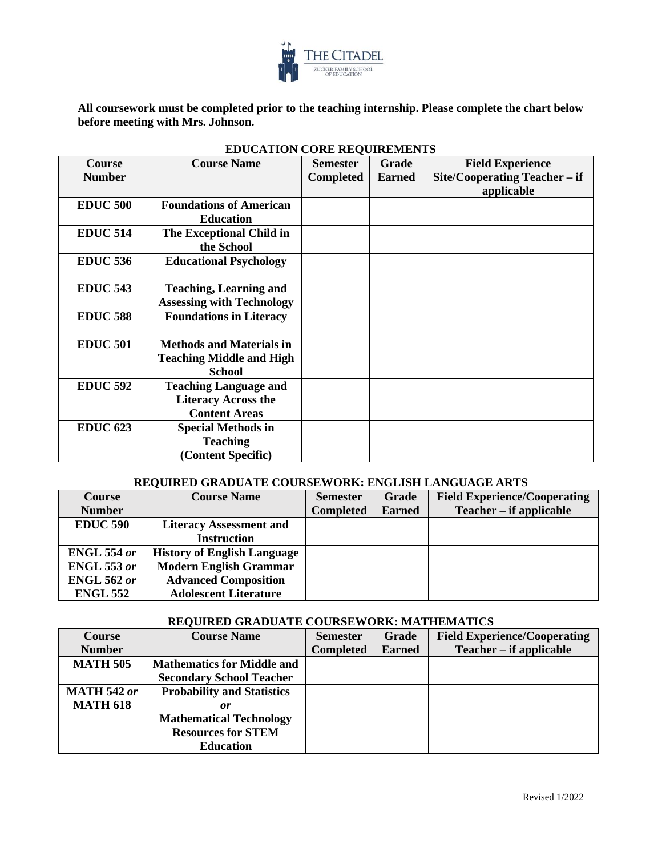

**All coursework must be completed prior to the teaching internship. Please complete the chart below before meeting with Mrs. Johnson.** 

| <b>Course</b><br><b>Number</b> | <b>Course Name</b>                                                                  | <b>Semester</b><br><b>Completed</b> | <b>Grade</b><br><b>Earned</b> | <b>Field Experience</b><br>Site/Cooperating Teacher – if<br>applicable |
|--------------------------------|-------------------------------------------------------------------------------------|-------------------------------------|-------------------------------|------------------------------------------------------------------------|
| <b>EDUC 500</b>                | <b>Foundations of American</b><br><b>Education</b>                                  |                                     |                               |                                                                        |
| <b>EDUC 514</b>                | The Exceptional Child in<br>the School                                              |                                     |                               |                                                                        |
| <b>EDUC 536</b>                | <b>Educational Psychology</b>                                                       |                                     |                               |                                                                        |
| <b>EDUC 543</b>                | <b>Teaching, Learning and</b><br><b>Assessing with Technology</b>                   |                                     |                               |                                                                        |
| <b>EDUC 588</b>                | <b>Foundations in Literacy</b>                                                      |                                     |                               |                                                                        |
| <b>EDUC 501</b>                | <b>Methods and Materials in</b><br><b>Teaching Middle and High</b><br><b>School</b> |                                     |                               |                                                                        |
| <b>EDUC 592</b>                | <b>Teaching Language and</b><br><b>Literacy Across the</b><br><b>Content Areas</b>  |                                     |                               |                                                                        |
| <b>EDUC 623</b>                | <b>Special Methods in</b><br><b>Teaching</b><br>(Content Specific)                  |                                     |                               |                                                                        |

## **EDUCATION CORE REQUIREMENTS**

### **REQUIRED GRADUATE COURSEWORK: ENGLISH LANGUAGE ARTS**

| <b>Course</b>      | <b>Course Name</b>                 | <b>Semester</b>  | Grade         | <b>Field Experience/Cooperating</b> |
|--------------------|------------------------------------|------------------|---------------|-------------------------------------|
| <b>Number</b>      |                                    | <b>Completed</b> | <b>Earned</b> | Teacher – if applicable             |
| <b>EDUC 590</b>    | <b>Literacy Assessment and</b>     |                  |               |                                     |
|                    | <b>Instruction</b>                 |                  |               |                                     |
| <b>ENGL 554 or</b> | <b>History of English Language</b> |                  |               |                                     |
| <b>ENGL 553 or</b> | <b>Modern English Grammar</b>      |                  |               |                                     |
| <b>ENGL 562 or</b> | <b>Advanced Composition</b>        |                  |               |                                     |
| <b>ENGL 552</b>    | <b>Adolescent Literature</b>       |                  |               |                                     |

### **REQUIRED GRADUATE COURSEWORK: MATHEMATICS**

| <b>Course</b>      | <b>Course Name</b>                | <b>Semester</b>  | Grade         | <b>Field Experience/Cooperating</b> |
|--------------------|-----------------------------------|------------------|---------------|-------------------------------------|
| <b>Number</b>      |                                   | <b>Completed</b> | <b>Earned</b> | Teacher – if applicable             |
| <b>MATH 505</b>    | <b>Mathematics for Middle and</b> |                  |               |                                     |
|                    | <b>Secondary School Teacher</b>   |                  |               |                                     |
| <b>MATH 542 or</b> | <b>Probability and Statistics</b> |                  |               |                                     |
| <b>MATH 618</b>    | or                                |                  |               |                                     |
|                    | <b>Mathematical Technology</b>    |                  |               |                                     |
|                    | <b>Resources for STEM</b>         |                  |               |                                     |
|                    | <b>Education</b>                  |                  |               |                                     |